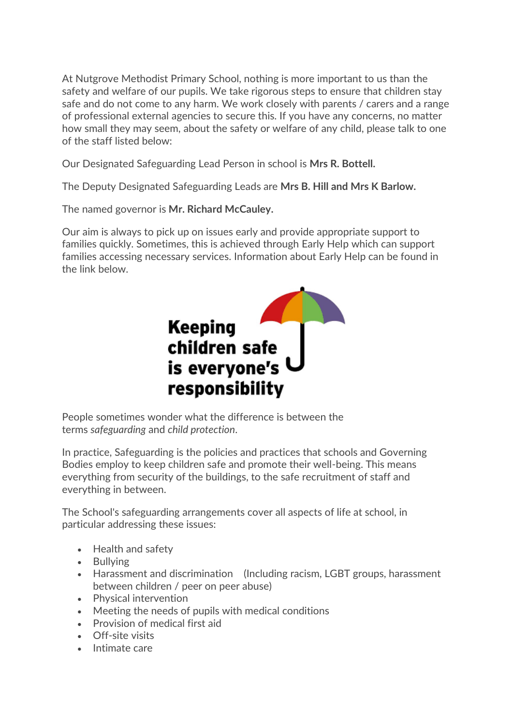At Nutgrove Methodist Primary School, nothing is more important to us than the safety and welfare of our pupils. We take rigorous steps to ensure that children stay safe and do not come to any harm. We work closely with parents / carers and a range of professional external agencies to secure this. If you have any concerns, no matter how small they may seem, about the safety or welfare of any child, please talk to one of the staff listed below:

Our Designated Safeguarding Lead Person in school is **Mrs R. Bottell.**

The Deputy Designated Safeguarding Leads are **Mrs B. Hill and Mrs K Barlow.**

The named governor is **Mr. Richard McCauley.**

Our aim is always to pick up on issues early and provide appropriate support to families quickly. Sometimes, this is achieved through Early Help which can support families accessing necessary services. Information about Early Help can be found in the link below.



People sometimes wonder what the difference is between the terms *safeguarding* and *child protection*.

In practice, Safeguarding is the policies and practices that schools and Governing Bodies employ to keep children safe and promote their well-being. This means everything from security of the buildings, to the safe recruitment of staff and everything in between.

The School's safeguarding arrangements cover all aspects of life at school, in particular addressing these issues:

- Health and safety
- Bullying
- Harassment and discrimination (Including racism, LGBT groups, harassment between children / peer on peer abuse)
- Physical intervention
- Meeting the needs of pupils with medical conditions
- Provision of medical first aid
- Off-site visits
- Intimate care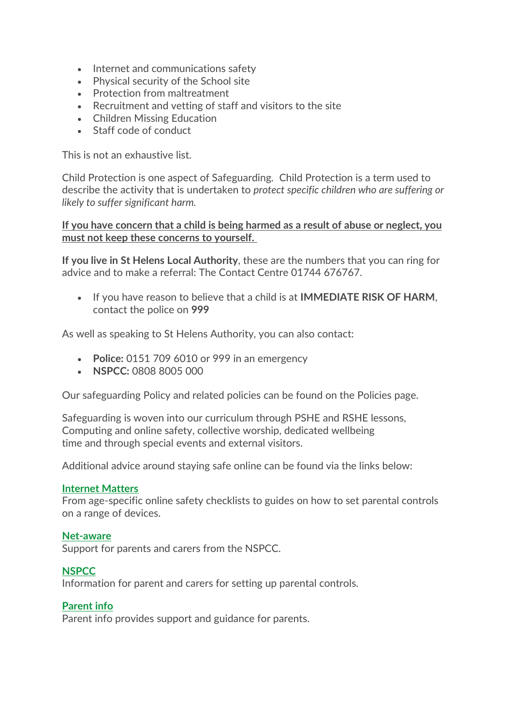- Internet and communications safety
- Physical security of the School site
- Protection from maltreatment
- Recruitment and vetting of staff and visitors to the site
- Children Missing Education
- Staff code of conduct

This is not an exhaustive list.

Child Protection is one aspect of Safeguarding. Child Protection is a term used to describe the activity that is undertaken to *protect specific children who are suffering or likely to suffer significant harm.*

### **If you have concern that a child is being harmed as a result of abuse or neglect, you must not keep these concerns to yourself.**

**If you live in St Helens Local Authority**, these are the numbers that you can ring for advice and to make a referral: The Contact Centre 01744 676767.

• If you have reason to believe that a child is at **IMMEDIATE RISK OF HARM**, contact the police on **999**

As well as speaking to St Helens Authority, you can also contact:

- **Police:** 0151 709 6010 or 999 in an emergency
- **NSPCC:** 0808 8005 000

Our safeguarding Policy and related policies can be found on the Policies page.

Safeguarding is woven into our curriculum through PSHE and RSHE lessons, Computing and online safety, collective worship, dedicated wellbeing time and through special events and external visitors.

Additional advice around staying safe online can be found via the links below:

### **[Internet Matters](https://www.internetmatters.org/)**

From age-specific online safety checklists to guides on how to set parental controls on a range of devices.

#### **[Net-aware](https://www.net-aware.org.uk/)**

Support for parents and carers from the NSPCC.

### **[NSPCC](https://www.nspcc.org.uk/keeping-children-safe/online-safety/parental-controls/)**

Information for parent and carers for setting up parental controls.

### **[Parent info](https://parentinfo.org/)**

Parent info provides support and guidance for parents.